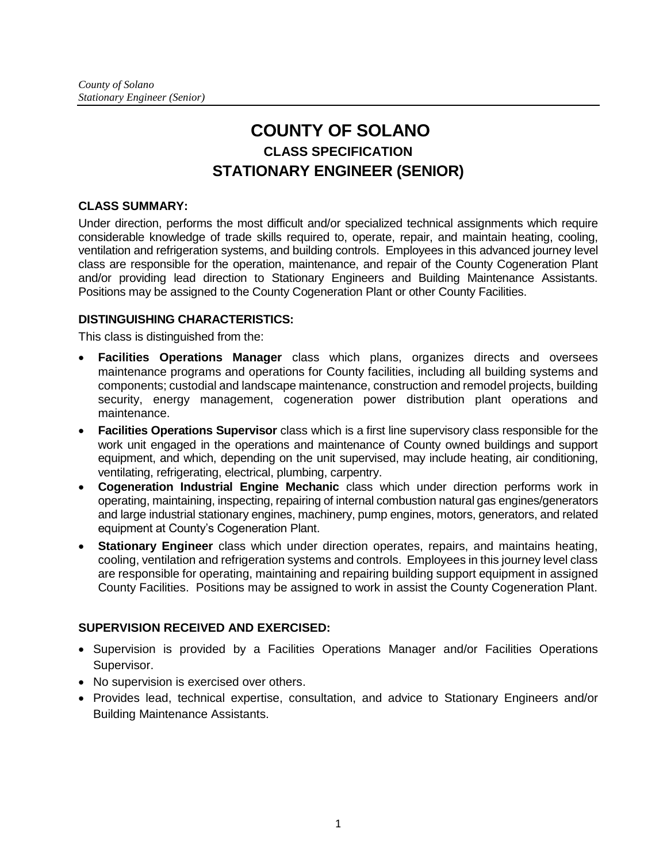# **COUNTY OF SOLANO CLASS SPECIFICATION STATIONARY ENGINEER (SENIOR)**

# **CLASS SUMMARY:**

Under direction, performs the most difficult and/or specialized technical assignments which require considerable knowledge of trade skills required to, operate, repair, and maintain heating, cooling, ventilation and refrigeration systems, and building controls. Employees in this advanced journey level class are responsible for the operation, maintenance, and repair of the County Cogeneration Plant and/or providing lead direction to Stationary Engineers and Building Maintenance Assistants. Positions may be assigned to the County Cogeneration Plant or other County Facilities.

# **DISTINGUISHING CHARACTERISTICS:**

This class is distinguished from the:

- **Facilities Operations Manager** class which plans, organizes directs and oversees maintenance programs and operations for County facilities, including all building systems and components; custodial and landscape maintenance, construction and remodel projects, building security, energy management, cogeneration power distribution plant operations and maintenance.
- **Facilities Operations Supervisor** class which is a first line supervisory class responsible for the work unit engaged in the operations and maintenance of County owned buildings and support equipment, and which, depending on the unit supervised, may include heating, air conditioning, ventilating, refrigerating, electrical, plumbing, carpentry.
- **Cogeneration Industrial Engine Mechanic** class which under direction performs work in operating, maintaining, inspecting, repairing of internal combustion natural gas engines/generators and large industrial stationary engines, machinery, pump engines, motors, generators, and related equipment at County's Cogeneration Plant.
- **Stationary Engineer** class which under direction operates, repairs, and maintains heating, cooling, ventilation and refrigeration systems and controls. Employees in this journey level class are responsible for operating, maintaining and repairing building support equipment in assigned County Facilities. Positions may be assigned to work in assist the County Cogeneration Plant.

# **SUPERVISION RECEIVED AND EXERCISED:**

- Supervision is provided by a Facilities Operations Manager and/or Facilities Operations Supervisor.
- No supervision is exercised over others.
- Provides lead, technical expertise, consultation, and advice to Stationary Engineers and/or Building Maintenance Assistants.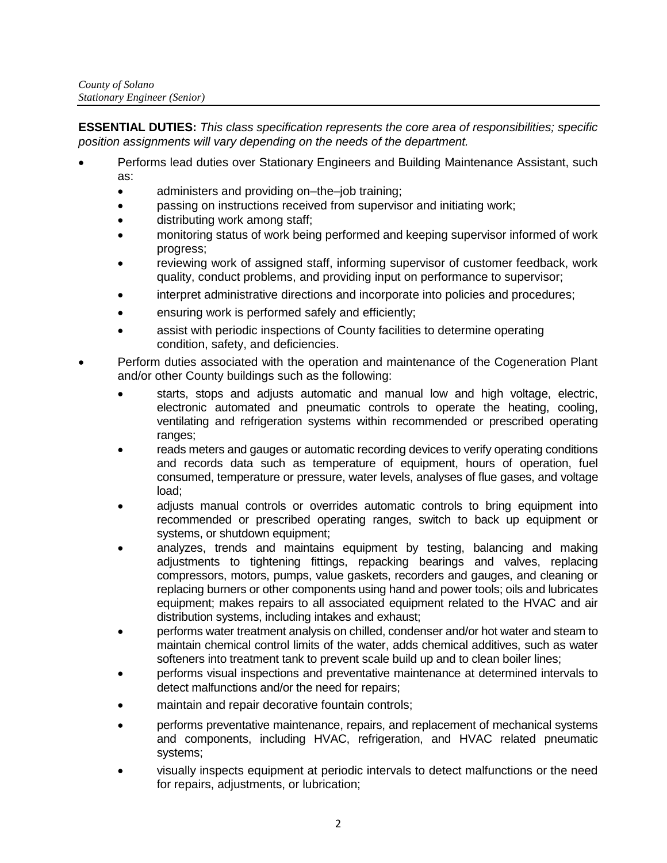**ESSENTIAL DUTIES:** *This class specification represents the core area of responsibilities; specific position assignments will vary depending on the needs of the department.*

- Performs lead duties over Stationary Engineers and Building Maintenance Assistant, such as:
	- administers and providing on–the–job training;
	- passing on instructions received from supervisor and initiating work;
	- distributing work among staff;
	- monitoring status of work being performed and keeping supervisor informed of work progress;
	- reviewing work of assigned staff, informing supervisor of customer feedback, work quality, conduct problems, and providing input on performance to supervisor;
	- interpret administrative directions and incorporate into policies and procedures;
	- ensuring work is performed safely and efficiently;
	- assist with periodic inspections of County facilities to determine operating condition, safety, and deficiencies.
- Perform duties associated with the operation and maintenance of the Cogeneration Plant and/or other County buildings such as the following:
	- starts, stops and adjusts automatic and manual low and high voltage, electric, electronic automated and pneumatic controls to operate the heating, cooling, ventilating and refrigeration systems within recommended or prescribed operating ranges;
	- reads meters and gauges or automatic recording devices to verify operating conditions and records data such as temperature of equipment, hours of operation, fuel consumed, temperature or pressure, water levels, analyses of flue gases, and voltage load;
	- adjusts manual controls or overrides automatic controls to bring equipment into recommended or prescribed operating ranges, switch to back up equipment or systems, or shutdown equipment;
	- analyzes, trends and maintains equipment by testing, balancing and making adjustments to tightening fittings, repacking bearings and valves, replacing compressors, motors, pumps, value gaskets, recorders and gauges, and cleaning or replacing burners or other components using hand and power tools; oils and lubricates equipment; makes repairs to all associated equipment related to the HVAC and air distribution systems, including intakes and exhaust;
	- performs water treatment analysis on chilled, condenser and/or hot water and steam to maintain chemical control limits of the water, adds chemical additives, such as water softeners into treatment tank to prevent scale build up and to clean boiler lines;
	- performs visual inspections and preventative maintenance at determined intervals to detect malfunctions and/or the need for repairs;
	- maintain and repair decorative fountain controls;
	- performs preventative maintenance, repairs, and replacement of mechanical systems and components, including HVAC, refrigeration, and HVAC related pneumatic systems;
	- visually inspects equipment at periodic intervals to detect malfunctions or the need for repairs, adjustments, or lubrication;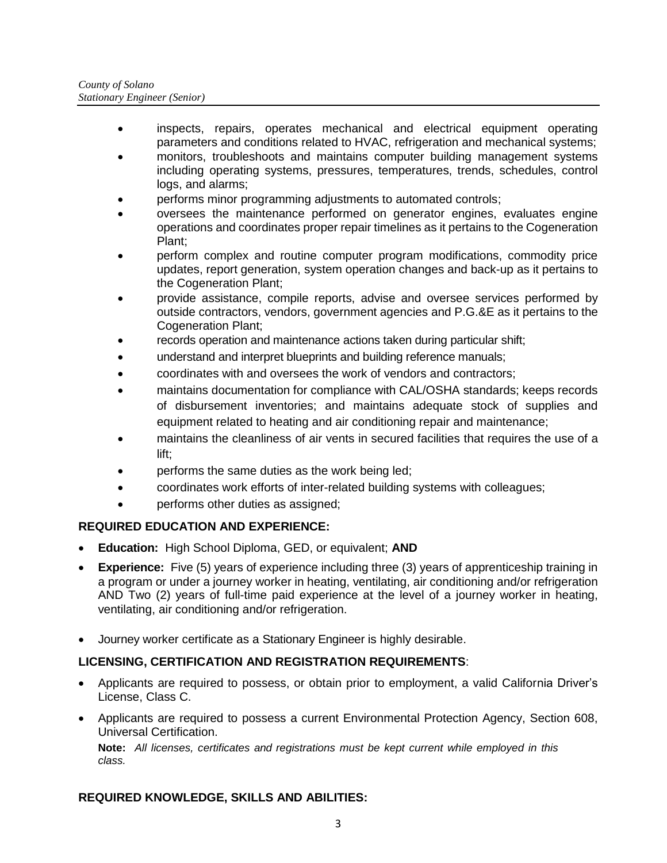- inspects, repairs, operates mechanical and electrical equipment operating parameters and conditions related to HVAC, refrigeration and mechanical systems;
- monitors, troubleshoots and maintains computer building management systems including operating systems, pressures, temperatures, trends, schedules, control logs, and alarms;
- performs minor programming adjustments to automated controls;
- oversees the maintenance performed on generator engines, evaluates engine operations and coordinates proper repair timelines as it pertains to the Cogeneration Plant;
- perform complex and routine computer program modifications, commodity price updates, report generation, system operation changes and back-up as it pertains to the Cogeneration Plant;
- provide assistance, compile reports, advise and oversee services performed by outside contractors, vendors, government agencies and P.G.&E as it pertains to the Cogeneration Plant;
- records operation and maintenance actions taken during particular shift;
- understand and interpret blueprints and building reference manuals;
- coordinates with and oversees the work of vendors and contractors;
- maintains documentation for compliance with CAL/OSHA standards; keeps records of disbursement inventories; and maintains adequate stock of supplies and equipment related to heating and air conditioning repair and maintenance;
- maintains the cleanliness of air vents in secured facilities that requires the use of a lift;
- performs the same duties as the work being led;
- coordinates work efforts of inter-related building systems with colleagues;
- performs other duties as assigned;

# **REQUIRED EDUCATION AND EXPERIENCE:**

- **Education:** High School Diploma, GED, or equivalent; **AND**
- **Experience:** Five (5) years of experience including three (3) years of apprenticeship training in a program or under a journey worker in heating, ventilating, air conditioning and/or refrigeration AND Two (2) years of full-time paid experience at the level of a journey worker in heating, ventilating, air conditioning and/or refrigeration.
- Journey worker certificate as a Stationary Engineer is highly desirable.

# **LICENSING, CERTIFICATION AND REGISTRATION REQUIREMENTS**:

- Applicants are required to possess, or obtain prior to employment, a valid California Driver's License, Class C.
- Applicants are required to possess a current Environmental Protection Agency, Section 608, Universal Certification.

**Note:** *All licenses, certificates and registrations must be kept current while employed in this class.*

# **REQUIRED KNOWLEDGE, SKILLS AND ABILITIES:**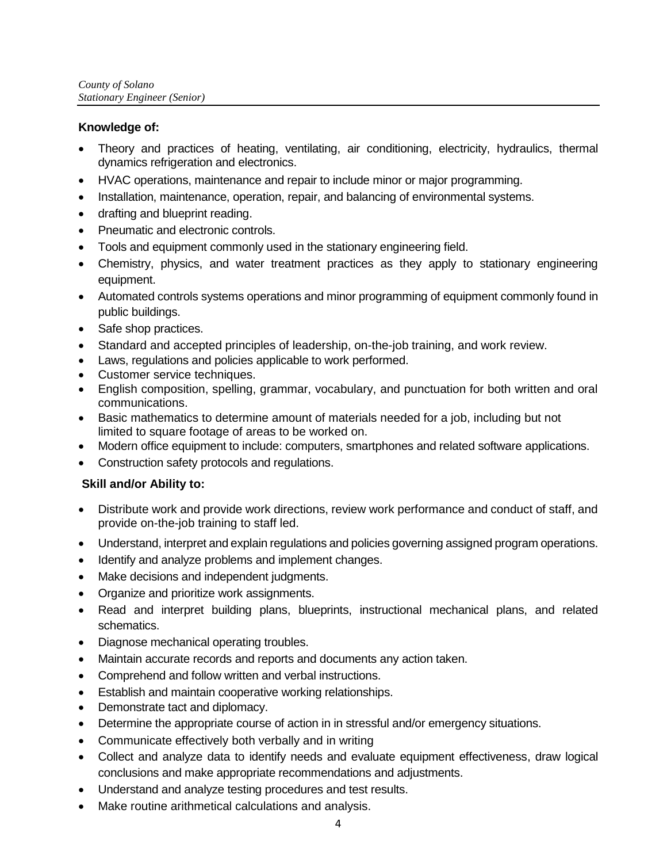#### **Knowledge of:**

- Theory and practices of heating, ventilating, air conditioning, electricity, hydraulics, thermal dynamics refrigeration and electronics.
- HVAC operations, maintenance and repair to include minor or major programming.
- Installation, maintenance, operation, repair, and balancing of environmental systems.
- drafting and blueprint reading.
- Pneumatic and electronic controls.
- Tools and equipment commonly used in the stationary engineering field.
- Chemistry, physics, and water treatment practices as they apply to stationary engineering equipment.
- Automated controls systems operations and minor programming of equipment commonly found in public buildings.
- Safe shop practices.
- Standard and accepted principles of leadership, on-the-job training, and work review.
- Laws, regulations and policies applicable to work performed.
- Customer service techniques.
- English composition, spelling, grammar, vocabulary, and punctuation for both written and oral communications.
- Basic mathematics to determine amount of materials needed for a job, including but not limited to square footage of areas to be worked on.
- Modern office equipment to include: computers, smartphones and related software applications.
- Construction safety protocols and regulations.

# **Skill and/or Ability to:**

- Distribute work and provide work directions, review work performance and conduct of staff, and provide on-the-job training to staff led.
- Understand, interpret and explain regulations and policies governing assigned program operations.
- Identify and analyze problems and implement changes.
- Make decisions and independent judgments.
- Organize and prioritize work assignments.
- Read and interpret building plans, blueprints, instructional mechanical plans, and related schematics.
- Diagnose mechanical operating troubles.
- Maintain accurate records and reports and documents any action taken.
- Comprehend and follow written and verbal instructions.
- Establish and maintain cooperative working relationships.
- Demonstrate tact and diplomacy.
- Determine the appropriate course of action in in stressful and/or emergency situations.
- Communicate effectively both verbally and in writing
- Collect and analyze data to identify needs and evaluate equipment effectiveness, draw logical conclusions and make appropriate recommendations and adjustments.
- Understand and analyze testing procedures and test results.
- Make routine arithmetical calculations and analysis.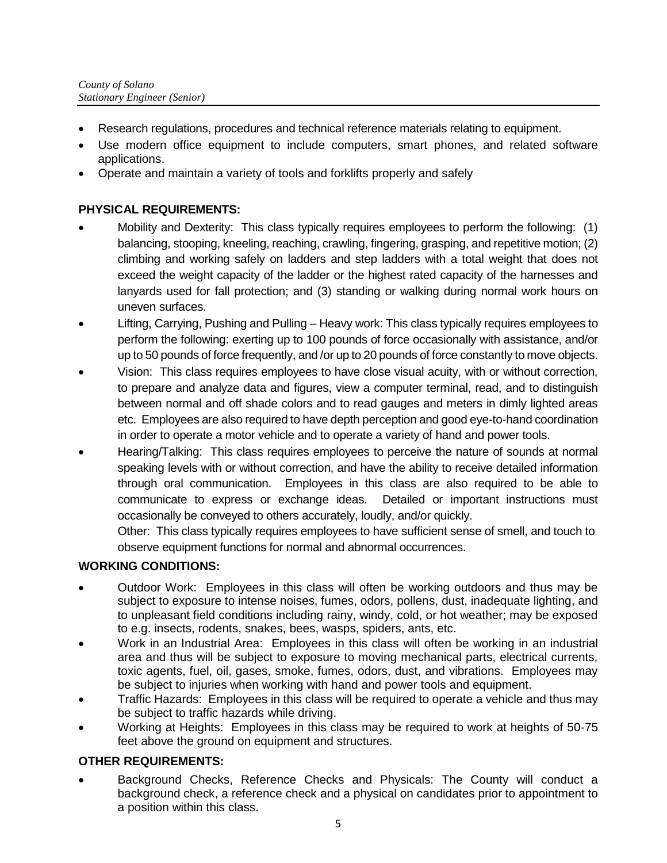- Research regulations, procedures and technical reference materials relating to equipment.
- Use modern office equipment to include computers, smart phones, and related software applications.
- Operate and maintain a variety of tools and forklifts properly and safely

# **PHYSICAL REQUIREMENTS:**

- Mobility and Dexterity: This class typically requires employees to perform the following: (1) balancing, stooping, kneeling, reaching, crawling, fingering, grasping, and repetitive motion; (2) climbing and working safely on ladders and step ladders with a total weight that does not exceed the weight capacity of the ladder or the highest rated capacity of the harnesses and lanyards used for fall protection; and (3) standing or walking during normal work hours on uneven surfaces.
- Lifting, Carrying, Pushing and Pulling Heavy work: This class typically requires employees to perform the following: exerting up to 100 pounds of force occasionally with assistance, and/or up to 50 pounds of force frequently, and /or up to 20 pounds of force constantly to move objects.
- Vision: This class requires employees to have close visual acuity, with or without correction, to prepare and analyze data and figures, view a computer terminal, read, and to distinguish between normal and off shade colors and to read gauges and meters in dimly lighted areas etc. Employees are also required to have depth perception and good eye-to-hand coordination in order to operate a motor vehicle and to operate a variety of hand and power tools.
- Hearing/Talking: This class requires employees to perceive the nature of sounds at normal speaking levels with or without correction, and have the ability to receive detailed information through oral communication. Employees in this class are also required to be able to communicate to express or exchange ideas. Detailed or important instructions must occasionally be conveyed to others accurately, loudly, and/or quickly.

Other: This class typically requires employees to have sufficient sense of smell, and touch to observe equipment functions for normal and abnormal occurrences.

# **WORKING CONDITIONS:**

- Outdoor Work: Employees in this class will often be working outdoors and thus may be subject to exposure to intense noises, fumes, odors, pollens, dust, inadequate lighting, and to unpleasant field conditions including rainy, windy, cold, or hot weather; may be exposed to e.g. insects, rodents, snakes, bees, wasps, spiders, ants, etc.
- Work in an Industrial Area: Employees in this class will often be working in an industrial area and thus will be subject to exposure to moving mechanical parts, electrical currents, toxic agents, fuel, oil, gases, smoke, fumes, odors, dust, and vibrations. Employees may be subject to injuries when working with hand and power tools and equipment.
- Traffic Hazards: Employees in this class will be required to operate a vehicle and thus may be subject to traffic hazards while driving.
- Working at Heights: Employees in this class may be required to work at heights of 50-75 feet above the ground on equipment and structures.

# **OTHER REQUIREMENTS:**

 Background Checks, Reference Checks and Physicals: The County will conduct a background check, a reference check and a physical on candidates prior to appointment to a position within this class.